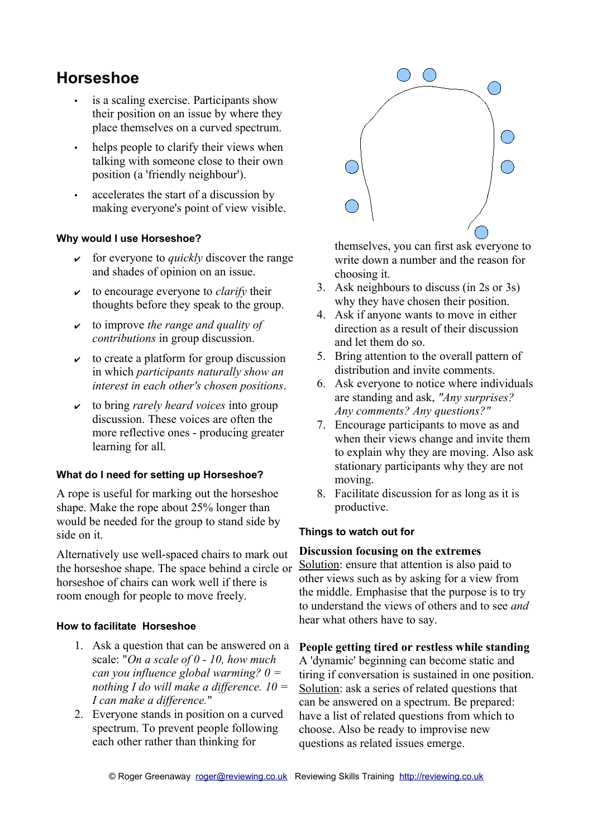# **Horseshoe**

- is a scaling exercise. Participants show their position on an issue by where they place themselves on a curved spectrum.
- helps people to clarify their views when talking with someone close to their own position (a 'friendly neighbour').
- accelerates the start of a discussion by making everyone's point of view visible.

## **Why would I use Horseshoe?**

- for everyone to *quickly* discover the range and shades of opinion on an issue.
- $\vee$  to encourage everyone to *clarify* their thoughts before they speak to the group.
- ✔ to improve *the range and quality of contributions* in group discussion.
- $\vee$  to create a platform for group discussion in which *participants naturally show an interest in each other's chosen positions*.
- ✔ to bring *rarely heard voices* into group discussion. These voices are often the more reflective ones - producing greater learning for all.

#### **What do I need for setting up Horseshoe?**

A rope is useful for marking out the horseshoe shape. Make the rope about 25% longer than would be needed for the group to stand side by side on it.

Alternatively use well-spaced chairs to mark out the horseshoe shape. The space behind a circle or horseshoe of chairs can work well if there is room enough for people to move freely.

#### **How to facilitate Horseshoe**

- 1. Ask a question that can be answered on a scale: "*On a scale of 0 - 10, how much can you influence global warming? 0 = nothing I do will make a difference. 10 = I can make a difference.*"
- 2. Everyone stands in position on a curved spectrum. To prevent people following each other rather than thinking for



themselves, you can first ask everyone to write down a number and the reason for choosing it.

- 3. Ask neighbours to discuss (in 2s or 3s) why they have chosen their position.
- 4. Ask if anyone wants to move in either direction as a result of their discussion and let them do so.
- 5. Bring attention to the overall pattern of distribution and invite comments.
- 6. Ask everyone to notice where individuals are standing and ask, *"Any surprises? Any comments? Any questions?"*
- 7. Encourage participants to move as and when their views change and invite them to explain why they are moving. Also ask stationary participants why they are not moving.
- 8. Facilitate discussion for as long as it is productive.

#### **Things to watch out for**

## **Discussion focusing on the extremes**

Solution: ensure that attention is also paid to other views such as by asking for a view from the middle. Emphasise that the purpose is to try to understand the views of others and to see *and* hear what others have to say.

#### **People getting tired or restless while standing**

A 'dynamic' beginning can become static and tiring if conversation is sustained in one position. Solution: ask a series of related questions that can be answered on a spectrum. Be prepared: have a list of related questions from which to choose. Also be ready to improvise new questions as related issues emerge.